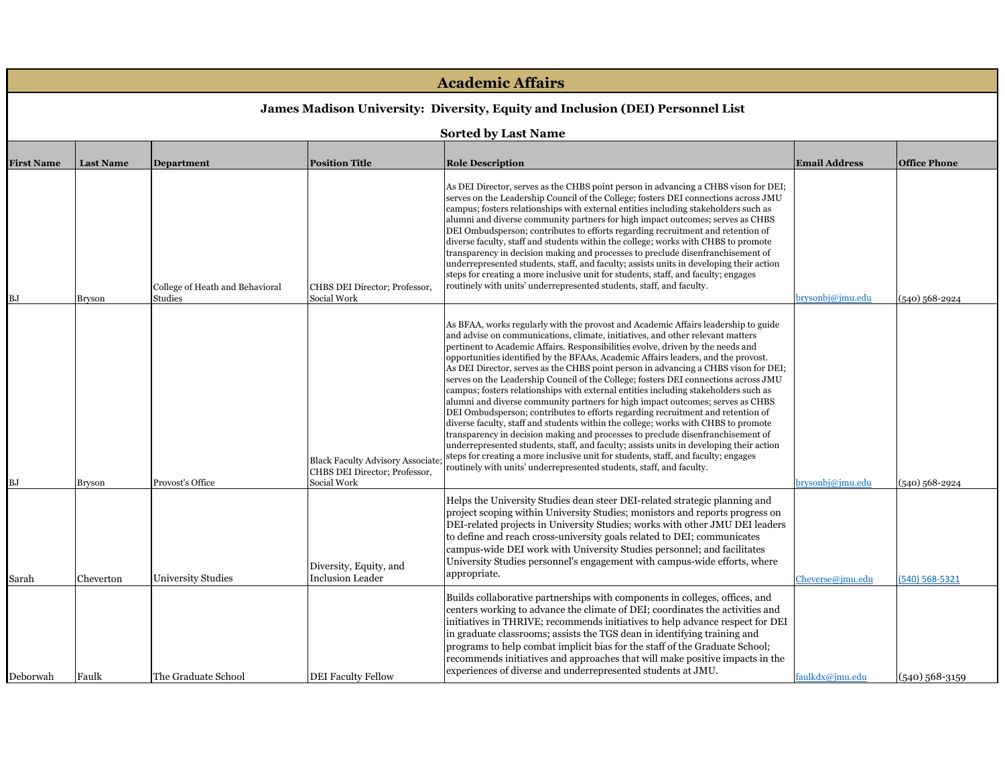| <b>Academic Affairs</b><br>James Madison University: Diversity, Equity and Inclusion (DEI) Personnel List<br><b>Sorted by Last Name</b> |               |                           |                                                                                  |                                                                                                                                                                                                                                                                                                                                                                                                                                                                                                                                                                                                                                                                                                                                                                                                                                                                                                                                                                                                                                                                                                                                                                                                                          |                  |                  |  |                   |                  |                                            |                                              |                                                                                                                                                                                                                                                                                                                                                                                                                                                                                                                                                                                                                                                                                                                                                                                                                                                                          |                      |                     |
|-----------------------------------------------------------------------------------------------------------------------------------------|---------------|---------------------------|----------------------------------------------------------------------------------|--------------------------------------------------------------------------------------------------------------------------------------------------------------------------------------------------------------------------------------------------------------------------------------------------------------------------------------------------------------------------------------------------------------------------------------------------------------------------------------------------------------------------------------------------------------------------------------------------------------------------------------------------------------------------------------------------------------------------------------------------------------------------------------------------------------------------------------------------------------------------------------------------------------------------------------------------------------------------------------------------------------------------------------------------------------------------------------------------------------------------------------------------------------------------------------------------------------------------|------------------|------------------|--|-------------------|------------------|--------------------------------------------|----------------------------------------------|--------------------------------------------------------------------------------------------------------------------------------------------------------------------------------------------------------------------------------------------------------------------------------------------------------------------------------------------------------------------------------------------------------------------------------------------------------------------------------------------------------------------------------------------------------------------------------------------------------------------------------------------------------------------------------------------------------------------------------------------------------------------------------------------------------------------------------------------------------------------------|----------------------|---------------------|
|                                                                                                                                         |               |                           |                                                                                  |                                                                                                                                                                                                                                                                                                                                                                                                                                                                                                                                                                                                                                                                                                                                                                                                                                                                                                                                                                                                                                                                                                                                                                                                                          |                  |                  |  | <b>First Name</b> | <b>Last Name</b> | <b>Department</b>                          | <b>Position Title</b>                        | <b>Role Description</b>                                                                                                                                                                                                                                                                                                                                                                                                                                                                                                                                                                                                                                                                                                                                                                                                                                                  | <b>Email Address</b> | <b>Office Phone</b> |
|                                                                                                                                         |               |                           |                                                                                  |                                                                                                                                                                                                                                                                                                                                                                                                                                                                                                                                                                                                                                                                                                                                                                                                                                                                                                                                                                                                                                                                                                                                                                                                                          |                  |                  |  | ВJ                | <b>Bryson</b>    | College of Heath and Behavioral<br>Studies | CHBS DEI Director; Professor,<br>Social Work | As DEI Director, serves as the CHBS point person in advancing a CHBS vison for DEI;<br>serves on the Leadership Council of the College; fosters DEI connections across JMU<br>campus; fosters relationships with external entities including stakeholders such as<br>alumni and diverse community partners for high impact outcomes; serves as CHBS<br>DEI Ombudsperson; contributes to efforts regarding recruitment and retention of<br>diverse faculty, staff and students within the college; works with CHBS to promote<br>transparency in decision making and processes to preclude disenfranchisement of<br>underrepresented students, staff, and faculty; assists units in developing their action<br>steps for creating a more inclusive unit for students, staff, and faculty; engages<br>routinely with units' underrepresented students, staff, and faculty. | prysonbj@jmu.edu     | $(540)$ 568-2924    |
| ВJ                                                                                                                                      | <b>Bryson</b> | Provost's Office          | Black Faculty Advisory Associate<br>CHBS DEI Director; Professor,<br>Social Work | As BFAA, works regularly with the provost and Academic Affairs leadership to guide<br>and advise on communications, climate, initiatives, and other relevant matters<br>pertinent to Academic Affairs. Responsibilities evolve, driven by the needs and<br>opportunities identified by the BFAAs, Academic Affairs leaders, and the provost.<br>As DEI Director, serves as the CHBS point person in advancing a CHBS vison for DEI;<br>serves on the Leadership Council of the College; fosters DEI connections across JMU<br>campus; fosters relationships with external entities including stakeholders such as<br>alumni and diverse community partners for high impact outcomes; serves as CHBS<br>DEI Ombudsperson; contributes to efforts regarding recruitment and retention of<br>diverse faculty, staff and students within the college; works with CHBS to promote<br>transparency in decision making and processes to preclude disenfranchisement of<br>underrepresented students, staff, and faculty; assists units in developing their action<br>steps for creating a more inclusive unit for students, staff, and faculty; engages<br>routinely with units' underrepresented students, staff, and faculty. | prysonbj@jmu.edu | $(540)$ 568-2924 |  |                   |                  |                                            |                                              |                                                                                                                                                                                                                                                                                                                                                                                                                                                                                                                                                                                                                                                                                                                                                                                                                                                                          |                      |                     |
| Sarah                                                                                                                                   | Cheverton     | <b>University Studies</b> | Diversity, Equity, and<br><b>Inclusion Leader</b>                                | Helps the University Studies dean steer DEI-related strategic planning and<br>project scoping within University Studies; monistors and reports progress on<br>DEI-related projects in University Studies; works with other JMU DEI leaders<br>to define and reach cross-university goals related to DEI; communicates<br>campus-wide DEI work with University Studies personnel; and facilitates<br>University Studies personnel's engagement with campus-wide efforts, where<br>appropriate.                                                                                                                                                                                                                                                                                                                                                                                                                                                                                                                                                                                                                                                                                                                            | Cheverse@jmu.edu | (540) 568-5321   |  |                   |                  |                                            |                                              |                                                                                                                                                                                                                                                                                                                                                                                                                                                                                                                                                                                                                                                                                                                                                                                                                                                                          |                      |                     |
| Deborwah                                                                                                                                | Faulk         | The Graduate School       | <b>DEI Faculty Fellow</b>                                                        | Builds collaborative partnerships with components in colleges, offices, and<br>centers working to advance the climate of DEI; coordinates the activities and<br>initiatives in THRIVE; recommends initiatives to help advance respect for DEI<br>in graduate classrooms; assists the TGS dean in identifying training and<br>programs to help combat implicit bias for the staff of the Graduate School;<br>recommends initiatives and approaches that will make positive impacts in the<br>experiences of diverse and underrepresented students at JMU.                                                                                                                                                                                                                                                                                                                                                                                                                                                                                                                                                                                                                                                                 | faulkdx@imu.edu  | (540) 568-3159   |  |                   |                  |                                            |                                              |                                                                                                                                                                                                                                                                                                                                                                                                                                                                                                                                                                                                                                                                                                                                                                                                                                                                          |                      |                     |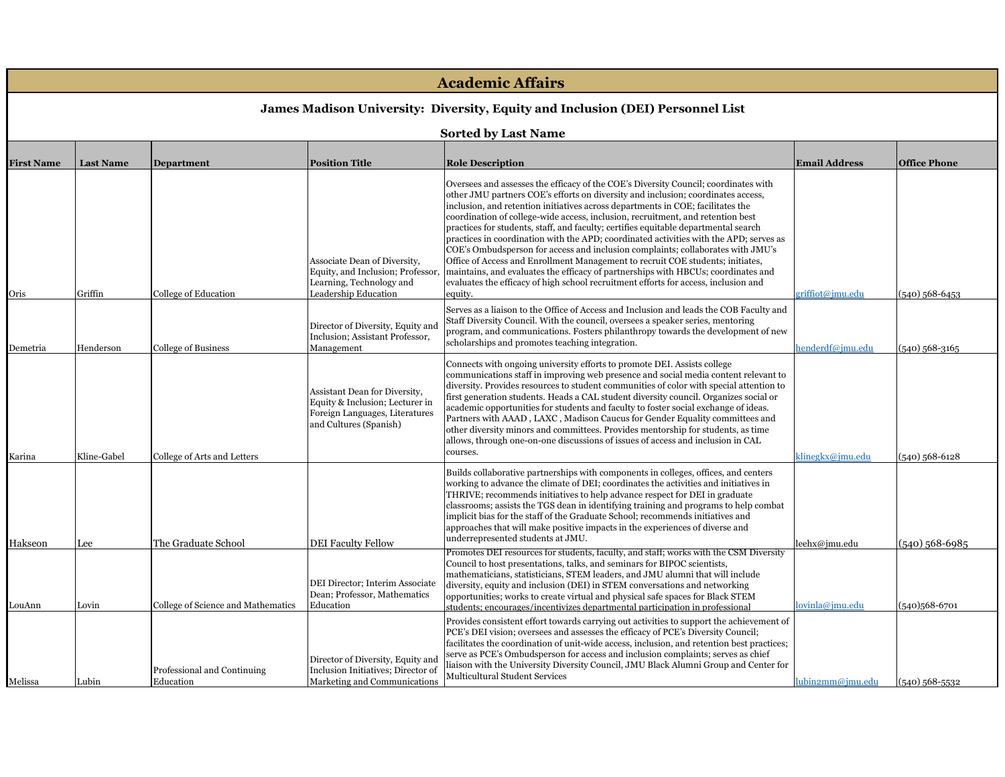|                                                                                | <b>Academic Affairs</b>    |                                          |                                                                                                                              |                                                                                                                                                                                                                                                                                                                                                                                                                                                                                                                                                                                                                                                                                                                                                                                                                                                                                            |                      |                     |  |  |
|--------------------------------------------------------------------------------|----------------------------|------------------------------------------|------------------------------------------------------------------------------------------------------------------------------|--------------------------------------------------------------------------------------------------------------------------------------------------------------------------------------------------------------------------------------------------------------------------------------------------------------------------------------------------------------------------------------------------------------------------------------------------------------------------------------------------------------------------------------------------------------------------------------------------------------------------------------------------------------------------------------------------------------------------------------------------------------------------------------------------------------------------------------------------------------------------------------------|----------------------|---------------------|--|--|
| James Madison University: Diversity, Equity and Inclusion (DEI) Personnel List |                            |                                          |                                                                                                                              |                                                                                                                                                                                                                                                                                                                                                                                                                                                                                                                                                                                                                                                                                                                                                                                                                                                                                            |                      |                     |  |  |
|                                                                                | <b>Sorted by Last Name</b> |                                          |                                                                                                                              |                                                                                                                                                                                                                                                                                                                                                                                                                                                                                                                                                                                                                                                                                                                                                                                                                                                                                            |                      |                     |  |  |
| <b>First Name</b>                                                              | <b>Last Name</b>           | <b>Department</b>                        | <b>Position Title</b>                                                                                                        | <b>Role Description</b>                                                                                                                                                                                                                                                                                                                                                                                                                                                                                                                                                                                                                                                                                                                                                                                                                                                                    | <b>Email Address</b> | <b>Office Phone</b> |  |  |
| Oris                                                                           | Griffin                    | College of Education                     | Associate Dean of Diversity,<br>Equity, and Inclusion; Professor<br>Learning, Technology and<br>Leadership Education         | Oversees and assesses the efficacy of the COE's Diversity Council; coordinates with<br>other JMU partners COE's efforts on diversity and inclusion; coordinates access,<br>inclusion, and retention initiatives across departments in COE; facilitates the<br>coordination of college-wide access, inclusion, recruitment, and retention best<br>practices for students, staff, and faculty; certifies equitable departmental search<br>practices in coordination with the APD; coordinated activities with the APD; serves as<br>COE's Ombudsperson for access and inclusion complaints; collaborates with JMU's<br>Office of Access and Enrollment Management to recruit COE students; initiates,<br>maintains, and evaluates the efficacy of partnerships with HBCUs; coordinates and<br>evaluates the efficacy of high school recruitment efforts for access, inclusion and<br>equity. | griffiot@jmu.edu     | $(540)$ 568-6453    |  |  |
| Demetria                                                                       | Henderson                  | <b>College of Business</b>               | Director of Diversity, Equity and<br>Inclusion; Assistant Professor,<br>Management                                           | Serves as a liaison to the Office of Access and Inclusion and leads the COB Faculty and<br>Staff Diversity Council. With the council, oversees a speaker series, mentoring<br>program, and communications. Fosters philanthropy towards the development of new<br>scholarships and promotes teaching integration.                                                                                                                                                                                                                                                                                                                                                                                                                                                                                                                                                                          | henderdf@jmu.edu     | $(540)$ 568-3165    |  |  |
| Karina                                                                         | Kline-Gabel                | College of Arts and Letters              | Assistant Dean for Diversity,<br>Equity & Inclusion; Lecturer in<br>Foreign Languages, Literatures<br>and Cultures (Spanish) | Connects with ongoing university efforts to promote DEI. Assists college<br>communications staff in improving web presence and social media content relevant to<br>diversity. Provides resources to student communities of color with special attention to<br>first generation students. Heads a CAL student diversity council. Organizes social or<br>academic opportunities for students and faculty to foster social exchange of ideas.<br>Partners with AAAD, LAXC, Madison Caucus for Gender Equality committees and<br>other diversity minors and committees. Provides mentorship for students, as time<br>allows, through one-on-one discussions of issues of access and inclusion in CAL<br>courses.                                                                                                                                                                               | klinegkx@jmu.edu     | $(540)$ 568-6128    |  |  |
| Hakseon                                                                        | Lee                        | The Graduate School                      | <b>DEI Faculty Fellow</b>                                                                                                    | Builds collaborative partnerships with components in colleges, offices, and centers<br>working to advance the climate of DEI; coordinates the activities and initiatives in<br>THRIVE; recommends initiatives to help advance respect for DEI in graduate<br>classrooms; assists the TGS dean in identifying training and programs to help combat<br>implicit bias for the staff of the Graduate School; recommends initiatives and<br>approaches that will make positive impacts in the experiences of diverse and<br>underrepresented students at JMU.                                                                                                                                                                                                                                                                                                                                   | leehx@imu.edu        | $(540)$ 568-6985    |  |  |
| LouAnn                                                                         | Lovin                      | College of Science and Mathematics       | DEI Director; Interim Associate<br>Dean; Professor, Mathematics<br>Education                                                 | Promotes DEI resources for students, faculty, and staff; works with the CSM Diversity<br>Council to host presentations, talks, and seminars for BIPOC scientists,<br>mathematicians, statisticians, STEM leaders, and JMU alumni that will include<br>diversity, equity and inclusion (DEI) in STEM conversations and networking<br>opportunities; works to create virtual and physical safe spaces for Black STEM<br>students: encourages/incentivizes departmental participation in professional                                                                                                                                                                                                                                                                                                                                                                                         | lovinla@jmu.edu      | $(540)568-6701$     |  |  |
| Melissa                                                                        | Lubin                      | Professional and Continuing<br>Education | Director of Diversity, Equity and<br>Inclusion Initiatives; Director of<br>Marketing and Communications                      | Provides consistent effort towards carrying out activities to support the achievement of<br>PCE's DEI vision; oversees and assesses the efficacy of PCE's Diversity Council;<br>facilitates the coordination of unit-wide access, inclusion, and retention best practices;<br>serve as PCE's Ombudsperson for access and inclusion complaints; serves as chief<br>iaison with the University Diversity Council, JMU Black Alumni Group and Center for<br>Multicultural Student Services                                                                                                                                                                                                                                                                                                                                                                                                    | lubin2mm@jmu.edu     | $(540)$ 568-5532    |  |  |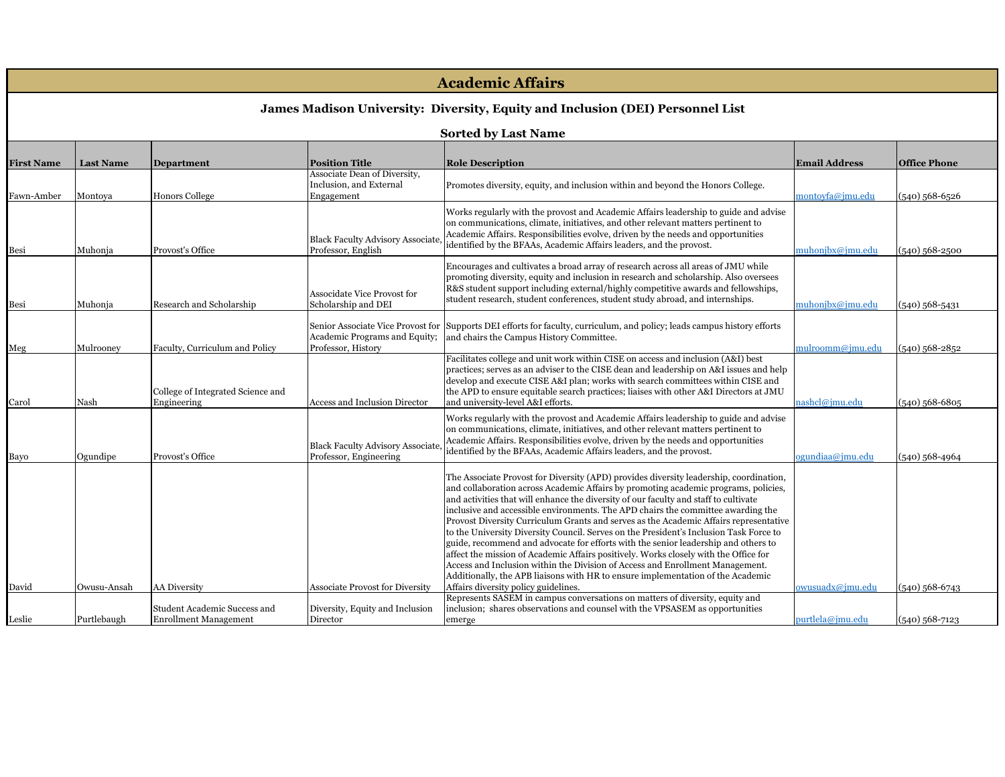| <b>Academic Affairs</b>                                                        |                  |                                   |                                         |                                                                                                                                                                          |                          |                     |  |  |
|--------------------------------------------------------------------------------|------------------|-----------------------------------|-----------------------------------------|--------------------------------------------------------------------------------------------------------------------------------------------------------------------------|--------------------------|---------------------|--|--|
| James Madison University: Diversity, Equity and Inclusion (DEI) Personnel List |                  |                                   |                                         |                                                                                                                                                                          |                          |                     |  |  |
|                                                                                |                  |                                   |                                         |                                                                                                                                                                          |                          |                     |  |  |
|                                                                                |                  |                                   |                                         |                                                                                                                                                                          |                          |                     |  |  |
| <b>First Name</b>                                                              | <b>Last Name</b> | <b>Department</b>                 | <b>Position Title</b>                   | <b>Role Description</b>                                                                                                                                                  | <b>Email Address</b>     | <b>Office Phone</b> |  |  |
|                                                                                |                  |                                   | Associate Dean of Diversity,            |                                                                                                                                                                          |                          |                     |  |  |
| Fawn-Amber                                                                     | Montoya          | <b>Honors College</b>             | Inclusion, and External<br>Engagement   | Promotes diversity, equity, and inclusion within and beyond the Honors College.                                                                                          | nontovfa@jmu.edu         | (540) 568-6526      |  |  |
|                                                                                |                  |                                   |                                         |                                                                                                                                                                          |                          |                     |  |  |
|                                                                                |                  |                                   |                                         | Works regularly with the provost and Academic Affairs leadership to guide and advise                                                                                     |                          |                     |  |  |
|                                                                                |                  |                                   |                                         | on communications, climate, initiatives, and other relevant matters pertinent to<br>Academic Affairs. Responsibilities evolve, driven by the needs and opportunities     |                          |                     |  |  |
|                                                                                |                  |                                   | <b>Black Faculty Advisory Associate</b> | identified by the BFAAs, Academic Affairs leaders, and the provost.                                                                                                      |                          |                     |  |  |
| Besi                                                                           | Muhonja          | Provost's Office                  | Professor, English                      |                                                                                                                                                                          | nuhonjbx@jmu.edu         | $(540)$ 568-2500    |  |  |
|                                                                                |                  |                                   |                                         | Encourages and cultivates a broad array of research across all areas of JMU while                                                                                        |                          |                     |  |  |
|                                                                                |                  |                                   |                                         | promoting diversity, equity and inclusion in research and scholarship. Also oversees                                                                                     |                          |                     |  |  |
|                                                                                |                  |                                   | Associdate Vice Provost for             | R&S student support including external/highly competitive awards and fellowships,                                                                                        |                          |                     |  |  |
| Besi                                                                           | Muhonja          | Research and Scholarship          | Scholarship and DEI                     | student research, student conferences, student study abroad, and internships.                                                                                            | nuhonjbx@jmu.edu         | (540) 568-5431      |  |  |
|                                                                                |                  |                                   |                                         |                                                                                                                                                                          |                          |                     |  |  |
|                                                                                |                  |                                   |                                         | Senior Associate Vice Provost for Supports DEI efforts for faculty, curriculum, and policy; leads campus history efforts                                                 |                          |                     |  |  |
|                                                                                |                  |                                   | Academic Programs and Equity;           | and chairs the Campus History Committee.                                                                                                                                 |                          |                     |  |  |
| Meg                                                                            | Mulroonev        | Faculty, Curriculum and Policy    | Professor, History                      | Facilitates college and unit work within CISE on access and inclusion (A&I) best                                                                                         | nulroomm@jmu.edu         | $(540)$ 568-2852    |  |  |
|                                                                                |                  |                                   |                                         | practices; serves as an adviser to the CISE dean and leadership on A&I issues and help                                                                                   |                          |                     |  |  |
|                                                                                |                  |                                   |                                         | develop and execute CISE A&I plan; works with search committees within CISE and                                                                                          |                          |                     |  |  |
|                                                                                |                  | College of Integrated Science and |                                         | the APD to ensure equitable search practices; liaises with other A&I Directors at JMU                                                                                    |                          |                     |  |  |
| Carol                                                                          | Nash             | Engineering                       | <b>Access and Inclusion Director</b>    | and university-level A&I efforts.                                                                                                                                        | nashcl@imu.edu           | $(540)$ 568-6805    |  |  |
|                                                                                |                  |                                   |                                         | Works regularly with the provost and Academic Affairs leadership to guide and advise                                                                                     |                          |                     |  |  |
|                                                                                |                  |                                   |                                         | on communications, climate, initiatives, and other relevant matters pertinent to                                                                                         |                          |                     |  |  |
|                                                                                |                  |                                   | <b>Black Faculty Advisory Associate</b> | Academic Affairs. Responsibilities evolve, driven by the needs and opportunities                                                                                         |                          |                     |  |  |
| Bayo                                                                           | Ogundipe         | Provost's Office                  | Professor, Engineering                  | identified by the BFAAs, Academic Affairs leaders, and the provost.                                                                                                      | $\gamma$ gundiaa@jmu.edu | (540) 568-4964      |  |  |
|                                                                                |                  |                                   |                                         |                                                                                                                                                                          |                          |                     |  |  |
|                                                                                |                  |                                   |                                         | The Associate Provost for Diversity (APD) provides diversity leadership, coordination,                                                                                   |                          |                     |  |  |
|                                                                                |                  |                                   |                                         | and collaboration across Academic Affairs by promoting academic programs, policies,                                                                                      |                          |                     |  |  |
|                                                                                |                  |                                   |                                         | and activities that will enhance the diversity of our faculty and staff to cultivate<br>inclusive and accessible environments. The APD chairs the committee awarding the |                          |                     |  |  |
|                                                                                |                  |                                   |                                         | Provost Diversity Curriculum Grants and serves as the Academic Affairs representative                                                                                    |                          |                     |  |  |
|                                                                                |                  |                                   |                                         | to the University Diversity Council. Serves on the President's Inclusion Task Force to                                                                                   |                          |                     |  |  |
|                                                                                |                  |                                   |                                         | guide, recommend and advocate for efforts with the senior leadership and others to                                                                                       |                          |                     |  |  |
|                                                                                |                  |                                   |                                         | affect the mission of Academic Affairs positively. Works closely with the Office for                                                                                     |                          |                     |  |  |
|                                                                                |                  |                                   |                                         | Access and Inclusion within the Division of Access and Enrollment Management.                                                                                            |                          |                     |  |  |
|                                                                                |                  |                                   |                                         | Additionally, the APB liaisons with HR to ensure implementation of the Academic                                                                                          |                          |                     |  |  |
| David                                                                          | Owusu-Ansah      | <b>AA Diversity</b>               | Associate Provost for Diversity         | Affairs diversity policy guidelines.<br>Represents SASEM in campus conversations on matters of diversity, equity and                                                     | owusuadx@jmu.edu         | $(540)$ 568-6743    |  |  |
|                                                                                |                  | Student Academic Success and      | Diversity, Equity and Inclusion         | inclusion; shares observations and counsel with the VPSASEM as opportunities                                                                                             |                          |                     |  |  |
| Leslie                                                                         | Purtlebaugh      | <b>Enrollment Management</b>      | Director                                | emerge                                                                                                                                                                   | purtlela@jmu.edu         | $(540)$ 568-7123    |  |  |